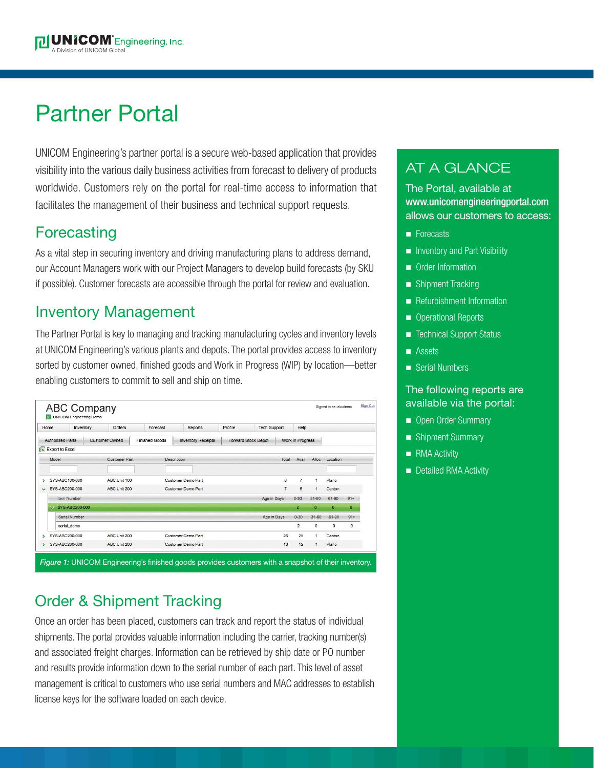# Partner Portal

UNICOM Engineering's partner portal is a secure web-based application that provides visibility into the various daily business activities from forecast to delivery of products worldwide. Customers rely on the portal for real-time access to information that facilitates the management of their business and technical support requests.

### **Forecasting**

As a vital step in securing inventory and driving manufacturing plans to address demand, our Account Managers work with our Project Managers to develop build forecasts (by SKU if possible). Customer forecasts are accessible through the portal for review and evaluation.

### Inventory Management

The Partner Portal is key to managing and tracking manufacturing cycles and inventory levels at UNICOM Engineering's various plants and depots. The portal provides access to inventory sorted by customer owned, finished goods and Work in Progress (WIP) by location—better enabling customers to commit to sell and ship on time.

| Home<br><b>Authorized Parts</b> |                        | Inventory             | Orders               |  | Forecast                                    | <b>Reports</b>            | Profile                    | <b>Tech Support</b> |                         | Help           |              |              |                |
|---------------------------------|------------------------|-----------------------|----------------------|--|---------------------------------------------|---------------------------|----------------------------|---------------------|-------------------------|----------------|--------------|--------------|----------------|
|                                 |                        | <b>Customer Owned</b> |                      |  | Finished Goods<br><b>Inventory Receipts</b> |                           | <b>Forward Stock Depot</b> |                     | <b>Work in Progress</b> |                |              |              |                |
| $\sqrt{2}$                      | <b>Export to Excel</b> |                       |                      |  |                                             |                           |                            |                     |                         |                |              |              |                |
|                                 | Model                  |                       | <b>Customer Part</b> |  |                                             | <b>Description</b>        |                            |                     | Total                   | Avail          | Alloc        | Location     |                |
|                                 |                        |                       |                      |  |                                             |                           |                            |                     |                         |                |              |              |                |
| ↘                               | SYS-ABC100-000         |                       | ABC Unit 100         |  |                                             | <b>Customer Demo Part</b> |                            |                     | 8                       | $\overline{7}$ | 1            | Plano        |                |
| $\checkmark$                    | SYS-ABC200-000         |                       | ABC Unit 200         |  |                                             | Customer Demo Part        |                            |                     | $\overline{7}$          | 6              | $\mathbf{1}$ | Canton       |                |
|                                 |                        | Item Number           |                      |  |                                             |                           |                            | Age in Days         |                         | $0 - 30$       | $31 - 60$    | 61-90        | $91+$          |
|                                 | $\sim$                 | SYS-ABC200-000        |                      |  |                                             |                           |                            |                     |                         | $\overline{2}$ | $\mathbf{0}$ | $\mathbf{0}$ | $\overline{0}$ |
|                                 |                        | Serial Number         |                      |  |                                             |                           |                            | Age in Days         |                         | $0 - 30$       | $31 - 60$    | 61-90        | $91+$          |
|                                 |                        | serial demo           |                      |  |                                             |                           |                            |                     |                         | $\overline{2}$ | $\mathbf 0$  | $^{\circ}$   | 0              |
|                                 |                        | SYS-ABC200-000        | ABC Unit 200         |  |                                             | Customer Demo Part        |                            |                     | 26                      | 25             | 1            | Canton       |                |
| s.                              | SYS-ABC200-000         |                       | ABC Unit 200         |  |                                             | <b>Customer Demo Part</b> |                            |                     | 13                      | 12             |              | Plano        |                |

# Order & Shipment Tracking

Once an order has been placed, customers can track and report the status of individual shipments. The portal provides valuable information including the carrier, tracking number(s) and associated freight charges. Information can be retrieved by ship date or PO number and results provide information down to the serial number of each part. This level of asset management is critical to customers who use serial numbers and MAC addresses to establish license keys for the software loaded on each device.

## AT A GLANCE

The Portal, available at www.unicomengineeringportal.com allows our customers to access:

- **n** Forecasts
- n Inventory and Part Visibility
- **n** Order Information
- Shipment Tracking
- Refurbishment Information
- **n** Operational Reports
- Technical Support Status
- n Assets
- Serial Numbers

### The following reports are available via the portal:

- Open Order Summary
- Shipment Summary
- **n** RMA Activity
- Detailed RMA Activity